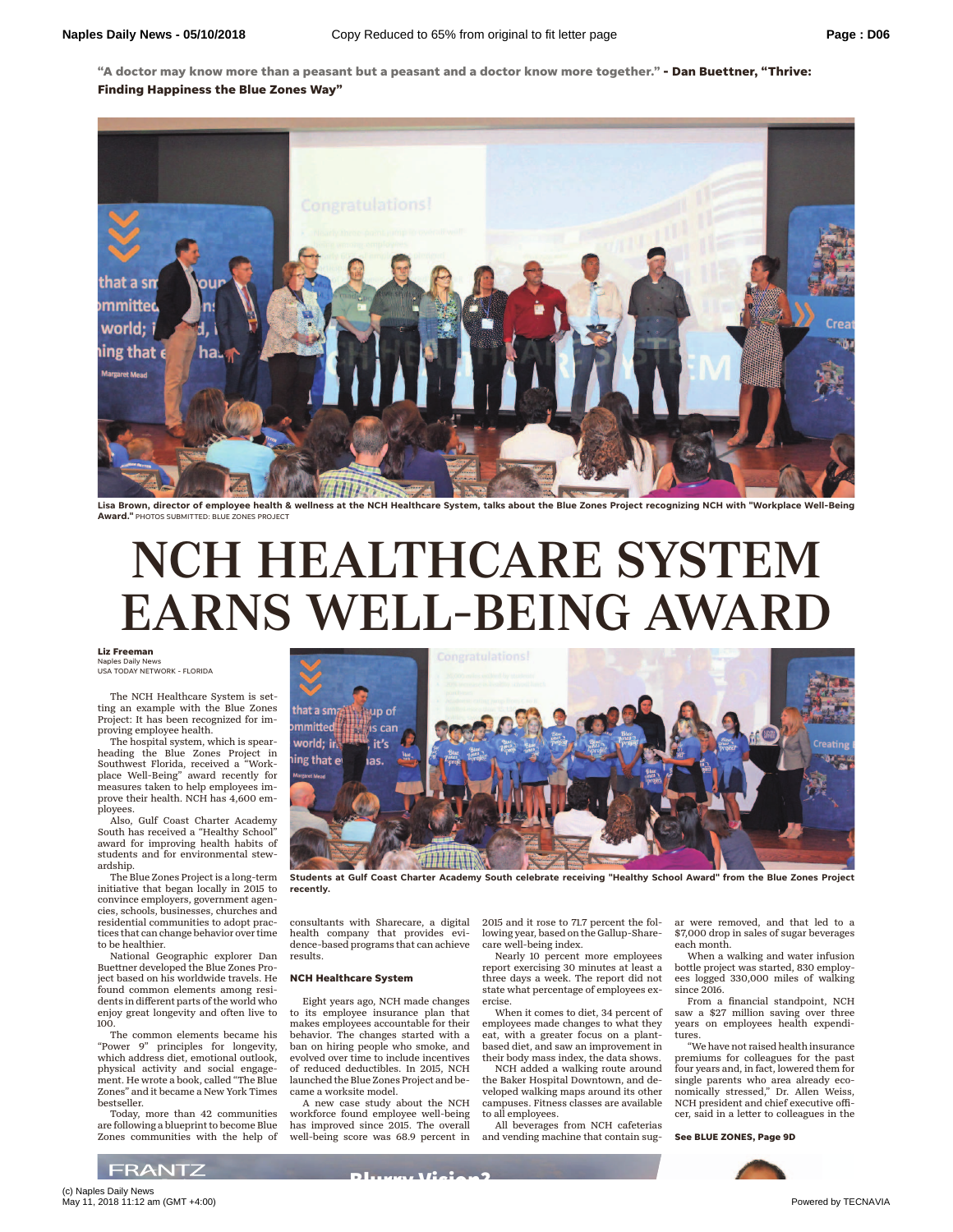**"A doctor may know more than a peasant but a peasant and a doctor know more together." - Dan Buettner, "Thrive: Finding Happiness the Blue Zones Way"**



**Lisa Brown, director of employee health & wellness at the NCH Healthcare System, talks about the Blue Zones Project recognizing NCH with "Workplace Well-Being Award."** PHOTOS SUBMITTED: BLUE ZONES PROJECT

## NCH HEALTHCARE SYSTEM EARNS WELL-BEING AWARD

**Liz Freeman** Naples Daily News USA TODAY NETWORK - FLORIDA

The NCH Healthcare System is setting an example with the Blue Zones Project: It has been recognized for improving employee health.

The hospital system, which is spearheading the Blue Zones Project in Southwest Florida, received a "Workplace Well-Being" award recently for measures taken to help employees improve their health. NCH has 4,600 employees.

Also, Gulf Coast Charter Academy South has received a "Healthy School" award for improving health habits of students and for environmental stewardship.

The Blue Zones Project is a long-term initiative that began locally in 2015 to convince employers, government agencies, schools, businesses, churches and residential communities to adopt practices that can change behavior over time to be healthier.

National Geographic explorer Dan Buettner developed the Blue Zones Project based on his worldwide travels. He found common elements among residents in different parts of the world who enjoy great longevity and often live to 100.

The common elements became his "Power 9" principles for longevity, which address diet, emotional outlook, physical activity and social engagement. He wrote a book, called "The Blue Zones" and it became a New York Times bestseller.

Today, more than 42 communities are following a blueprint to become Blue Zones communities with the help of



**Students at Gulf Coast Charter Academy South celebrate receiving "Healthy School Award" from the Blue Zones Project recently.**

consultants with Sharecare, a digital health company that provides evidence-based programs that can achieve results.

## **NCH Healthcare System**

Eight years ago, NCH made changes to its employee insurance plan that makes employees accountable for their behavior. The changes started with a ban on hiring people who smoke, and evolved over time to include incentives of reduced deductibles. In 2015, NCH launched the Blue Zones Project and became a worksite model.

A new case study about the NCH workforce found employee well-being has improved since 2015. The overall well-being score was 68.9 percent in

2015 and it rose to 71.7 percent the following year, based on the Gallup-Sharecare well-being index.

Nearly 10 percent more employees report exercising 30 minutes at least a three days a week. The report did not state what percentage of employees exercise.

When it comes to diet, 34 percent of employees made changes to what they eat, with a greater focus on a plantbased diet, and saw an improvement in

their body mass index, the data shows. NCH added a walking route around the Baker Hospital Downtown, and developed walking maps around its other campuses. Fitness classes are available to all employees.

All beverages from NCH cafeterias and vending machine that contain sugar were removed, and that led to a \$7,000 drop in sales of sugar beverages each month.

When a walking and water infusion bottle project was started, 830 employees logged 330,000 miles of walking since 2016.

From a financial standpoint, NCH saw a \$27 million saving over three years on employees health expenditures.

"We have not raised health insurance premiums for colleagues for the past four years and, in fact, lowered them for single parents who area already economically stressed," Dr. Allen Weiss, NCH president and chief executive officer, said in a letter to colleagues in the

**See BLUE ZONES, Page 9D**



(c) Naples Daily News May 11, 2018 11:12 am (GMT +4:00) **Powered by TECNAVIA** 

**FRANTZ**